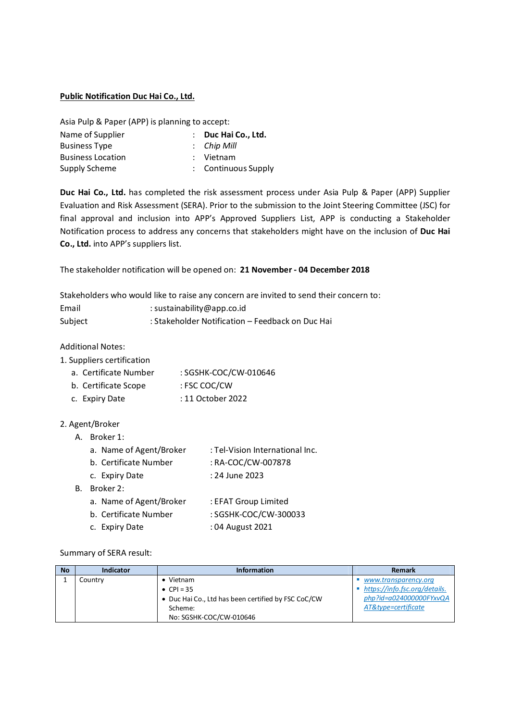## **Public Notification Duc Hai Co., Ltd.**

Asia Pulp & Paper (APP) is planning to accept:

| Name of Supplier         | : Duc Hai Co., Ltd. |
|--------------------------|---------------------|
| <b>Business Type</b>     | $:$ Chip Mill       |
| <b>Business Location</b> | : Vietnam           |
| Supply Scheme            | : Continuous Supply |

**Duc Hai Co., Ltd.** has completed the risk assessment process under Asia Pulp & Paper (APP) Supplier Evaluation and Risk Assessment (SERA). Prior to the submission to the Joint Steering Committee (JSC) for final approval and inclusion into APP's Approved Suppliers List, APP is conducting a Stakeholder Notification process to address any concerns that stakeholders might have on the inclusion of **Duc Hai Co., Ltd.** into APP's suppliers list.

The stakeholder notification will be opened on: **21 November - 04 December 2018**

|         | Stakeholders who would like to raise any concern are invited to send their concern to: |
|---------|----------------------------------------------------------------------------------------|
| Email   | : sustainability@app.co.id                                                             |
| Subject | : Stakeholder Notification – Feedback on Duc Hai                                       |

Additional Notes:

1. Suppliers certification

- a. Certificate Number : SGSHK-COC/CW-010646
- b. Certificate Scope : FSC COC/CW
- c. Expiry Date : 11 October 2022
- 2. Agent/Broker

 $B.$ 

A. Broker 1:

| a. Name of Agent/Broker | : Tel-Vision International Inc. |
|-------------------------|---------------------------------|
| b. Certificate Number   | : RA-COC/CW-007878              |
| c. Expiry Date          | : 24 June 2023                  |
| Broker 2:               |                                 |
| a. Name of Agent/Broker | : EFAT Group Limited            |

- b. Certificate Number : SGSHK-COC/CW-300033
- c. Expiry Date : 04 August 2021

Summary of SERA result:

| <b>No</b> | Indicator | <b>Information</b>                                  | Remark                        |
|-----------|-----------|-----------------------------------------------------|-------------------------------|
|           | Country   | $\bullet$ Vietnam                                   | www.transparency.org          |
|           |           | • CPI = 35                                          | https://info.fsc.org/details. |
|           |           | • Duc Hai Co., Ltd has been certified by FSC CoC/CW | $php$ ?id=a024000000FYxvQA    |
|           |           | Scheme:                                             | AT&type=certificate           |
|           |           | No: SGSHK-COC/CW-010646                             |                               |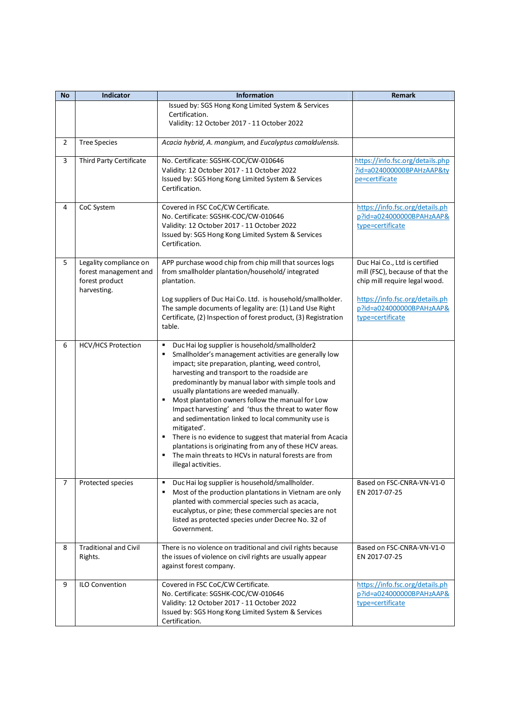| <b>No</b> | Indicator               | <b>Information</b>                                                                                                          | Remark                                       |
|-----------|-------------------------|-----------------------------------------------------------------------------------------------------------------------------|----------------------------------------------|
|           |                         | Issued by: SGS Hong Kong Limited System & Services                                                                          |                                              |
|           |                         | Certification.                                                                                                              |                                              |
|           |                         | Validity: 12 October 2017 - 11 October 2022                                                                                 |                                              |
| 2         | <b>Tree Species</b>     | Acacia hybrid, A. mangium, and Eucalyptus camaldulensis.                                                                    |                                              |
|           |                         |                                                                                                                             |                                              |
| 3         | Third Party Certificate | No. Certificate: SGSHK-COC/CW-010646                                                                                        | https://info.fsc.org/details.php             |
|           |                         | Validity: 12 October 2017 - 11 October 2022                                                                                 | ?id=a024000000BPAHzAAP&ty                    |
|           |                         | Issued by: SGS Hong Kong Limited System & Services                                                                          | pe=certificate                               |
|           |                         | Certification.                                                                                                              |                                              |
| 4         | CoC System              | Covered in FSC CoC/CW Certificate.                                                                                          | https://info.fsc.org/details.ph              |
|           |                         | No. Certificate: SGSHK-COC/CW-010646                                                                                        | p?id=a024000000BPAHzAAP&                     |
|           |                         | Validity: 12 October 2017 - 11 October 2022                                                                                 | type=certificate                             |
|           |                         | Issued by: SGS Hong Kong Limited System & Services                                                                          |                                              |
|           |                         | Certification.                                                                                                              |                                              |
| 5         | Legality compliance on  | APP purchase wood chip from chip mill that sources logs                                                                     | Duc Hai Co., Ltd is certified                |
|           | forest management and   | from smallholder plantation/household/integrated                                                                            | mill (FSC), because of that the              |
|           | forest product          | plantation.                                                                                                                 | chip mill require legal wood.                |
|           | harvesting.             |                                                                                                                             |                                              |
|           |                         | Log suppliers of Duc Hai Co. Ltd. is household/smallholder.                                                                 | https://info.fsc.org/details.ph              |
|           |                         | The sample documents of legality are: (1) Land Use Right<br>Certificate, (2) Inspection of forest product, (3) Registration | p?id=a024000000BPAHzAAP&<br>type=certificate |
|           |                         | table.                                                                                                                      |                                              |
|           |                         |                                                                                                                             |                                              |
| 6         | HCV/HCS Protection      | Duc Hai log supplier is household/smallholder2<br>٠                                                                         |                                              |
|           |                         | Smallholder's management activities are generally low<br>٠                                                                  |                                              |
|           |                         | impact; site preparation, planting, weed control,                                                                           |                                              |
|           |                         | harvesting and transport to the roadside are                                                                                |                                              |
|           |                         | predominantly by manual labor with simple tools and<br>usually plantations are weeded manually.                             |                                              |
|           |                         | Most plantation owners follow the manual for Low<br>٠                                                                       |                                              |
|           |                         | Impact harvesting' and 'thus the threat to water flow                                                                       |                                              |
|           |                         | and sedimentation linked to local community use is                                                                          |                                              |
|           |                         | mitigated'.                                                                                                                 |                                              |
|           |                         | There is no evidence to suggest that material from Acacia                                                                   |                                              |
|           |                         | plantations is originating from any of these HCV areas.                                                                     |                                              |
|           |                         | The main threats to HCVs in natural forests are from<br>٠                                                                   |                                              |
|           |                         | illegal activities.                                                                                                         |                                              |
| 7         | Protected species       | Duc Hai log supplier is household/smallholder.<br>٠                                                                         | Based on FSC-CNRA-VN-V1-0                    |
|           |                         | Most of the production plantations in Vietnam are only<br>٠                                                                 | EN 2017-07-25                                |
|           |                         | planted with commercial species such as acacia,                                                                             |                                              |
|           |                         | eucalyptus, or pine; these commercial species are not                                                                       |                                              |
|           |                         | listed as protected species under Decree No. 32 of<br>Government.                                                           |                                              |
|           |                         |                                                                                                                             |                                              |
| 8         | Traditional and Civil   | There is no violence on traditional and civil rights because                                                                | Based on FSC-CNRA-VN-V1-0                    |
|           | Rights.                 | the issues of violence on civil rights are usually appear                                                                   | EN 2017-07-25                                |
|           |                         | against forest company.                                                                                                     |                                              |
| 9         | ILO Convention          | Covered in FSC CoC/CW Certificate.                                                                                          | https://info.fsc.org/details.ph              |
|           |                         | No. Certificate: SGSHK-COC/CW-010646                                                                                        | p?id=a024000000BPAHzAAP&                     |
|           |                         | Validity: 12 October 2017 - 11 October 2022                                                                                 | type=certificate                             |
|           |                         | Issued by: SGS Hong Kong Limited System & Services                                                                          |                                              |
|           |                         | Certification.                                                                                                              |                                              |